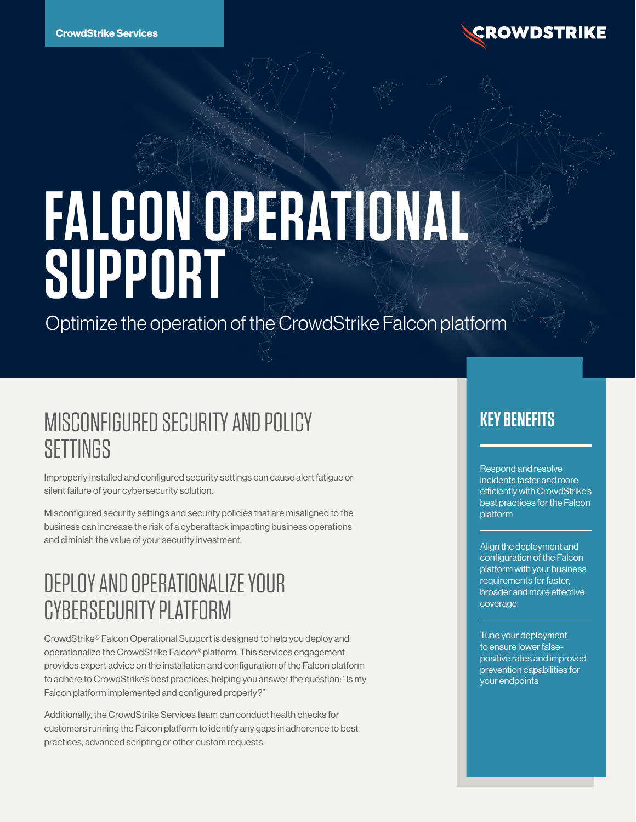

# **FALCON OPERATIONAL SUPPORT**

Optimize the operation of the CrowdStrike Falcon platform

# MISCONFIGURED SECURITY AND POLICY **SETTINGS**

Improperly installed and configured security settings can cause alert fatigue or silent failure of your cybersecurity solution.

Misconfigured security settings and security policies that are misaligned to the business can increase the risk of a cyberattack impacting business operations and diminish the value of your security investment.

## DEPLOY AND OPERATIONALIZE YOUR CYBERSECURITY PLATFORM

CrowdStrike® Falcon Operational Support is designed to help you deploy and operationalize the CrowdStrike Falcon® platform. This services engagement provides expert advice on the installation and configuration of the Falcon platform to adhere to CrowdStrike's best practices, helping you answer the question: "Is my Falcon platform implemented and configured properly?"

Additionally, the CrowdStrike Services team can conduct health checks for customers running the Falcon platform to identify any gaps in adherence to best practices, advanced scripting or other custom requests.

#### **KEY BENEFITS**

Respond and resolve incidents faster and more efficiently with CrowdStrike's best practices for the Falcon platform

Align the deployment and configuration of the Falcon platform with your business requirements for faster, broader and more effective coverage

Tune your deployment to ensure lower falsepositive rates and improved prevention capabilities for your endpoints